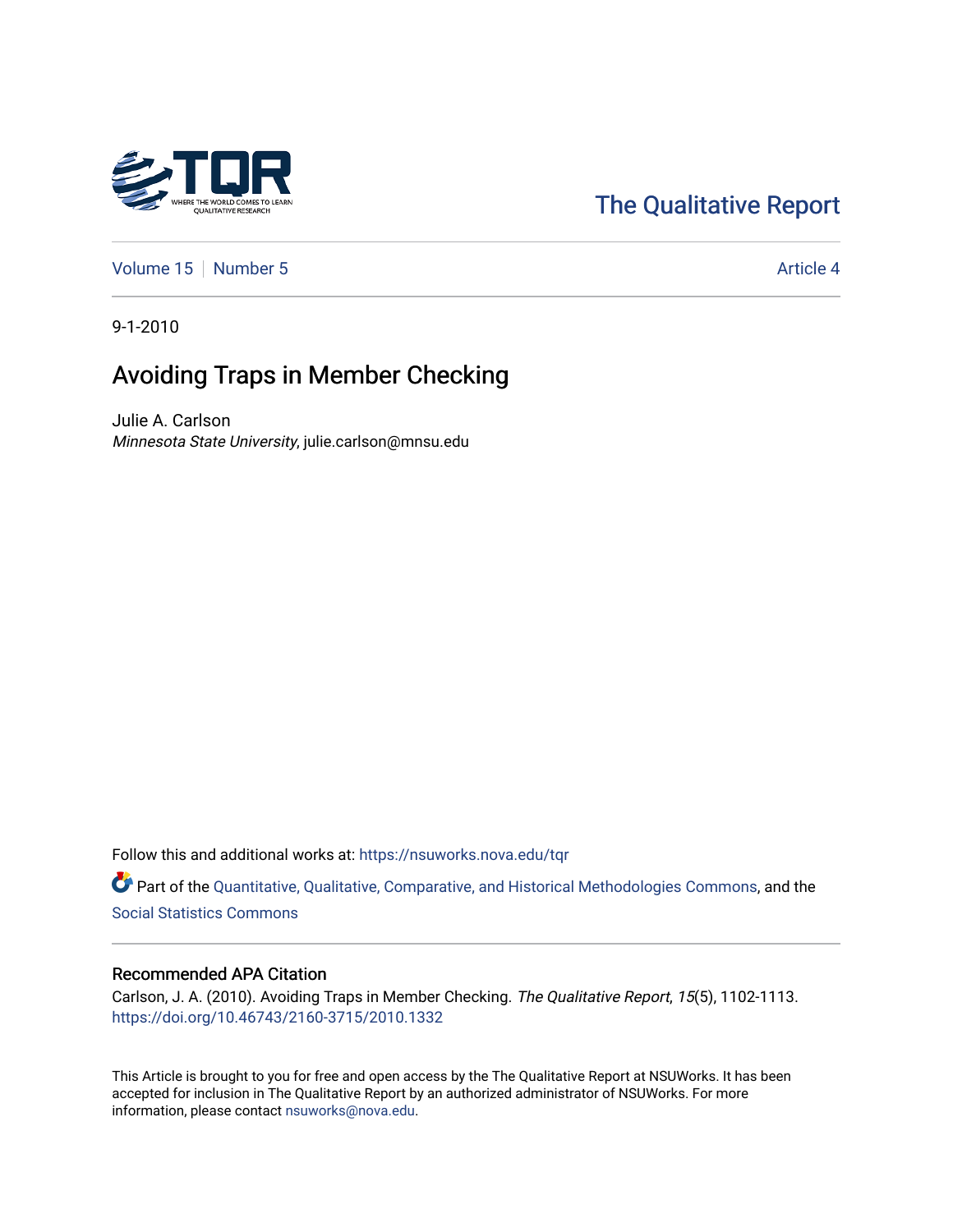# [The Qualitative Report](https://nsuworks.nova.edu/tqr)

[Volume 15](https://nsuworks.nova.edu/tqr/vol15) [Number 5](https://nsuworks.nova.edu/tqr/vol15/iss5) Article 4

9-1-2010

## Avoiding Traps in Member Checking

Julie A. Carlson Minnesota State University, julie.carlson@mnsu.edu

Follow this and additional works at: [https://nsuworks.nova.edu/tqr](https://nsuworks.nova.edu/tqr?utm_source=nsuworks.nova.edu%2Ftqr%2Fvol15%2Fiss5%2F4&utm_medium=PDF&utm_campaign=PDFCoverPages) 

Part of the [Quantitative, Qualitative, Comparative, and Historical Methodologies Commons,](http://network.bepress.com/hgg/discipline/423?utm_source=nsuworks.nova.edu%2Ftqr%2Fvol15%2Fiss5%2F4&utm_medium=PDF&utm_campaign=PDFCoverPages) and the [Social Statistics Commons](http://network.bepress.com/hgg/discipline/1275?utm_source=nsuworks.nova.edu%2Ftqr%2Fvol15%2Fiss5%2F4&utm_medium=PDF&utm_campaign=PDFCoverPages) 

#### Recommended APA Citation

Carlson, J. A. (2010). Avoiding Traps in Member Checking. The Qualitative Report, 15(5), 1102-1113. <https://doi.org/10.46743/2160-3715/2010.1332>

This Article is brought to you for free and open access by the The Qualitative Report at NSUWorks. It has been accepted for inclusion in The Qualitative Report by an authorized administrator of NSUWorks. For more information, please contact [nsuworks@nova.edu.](mailto:nsuworks@nova.edu)

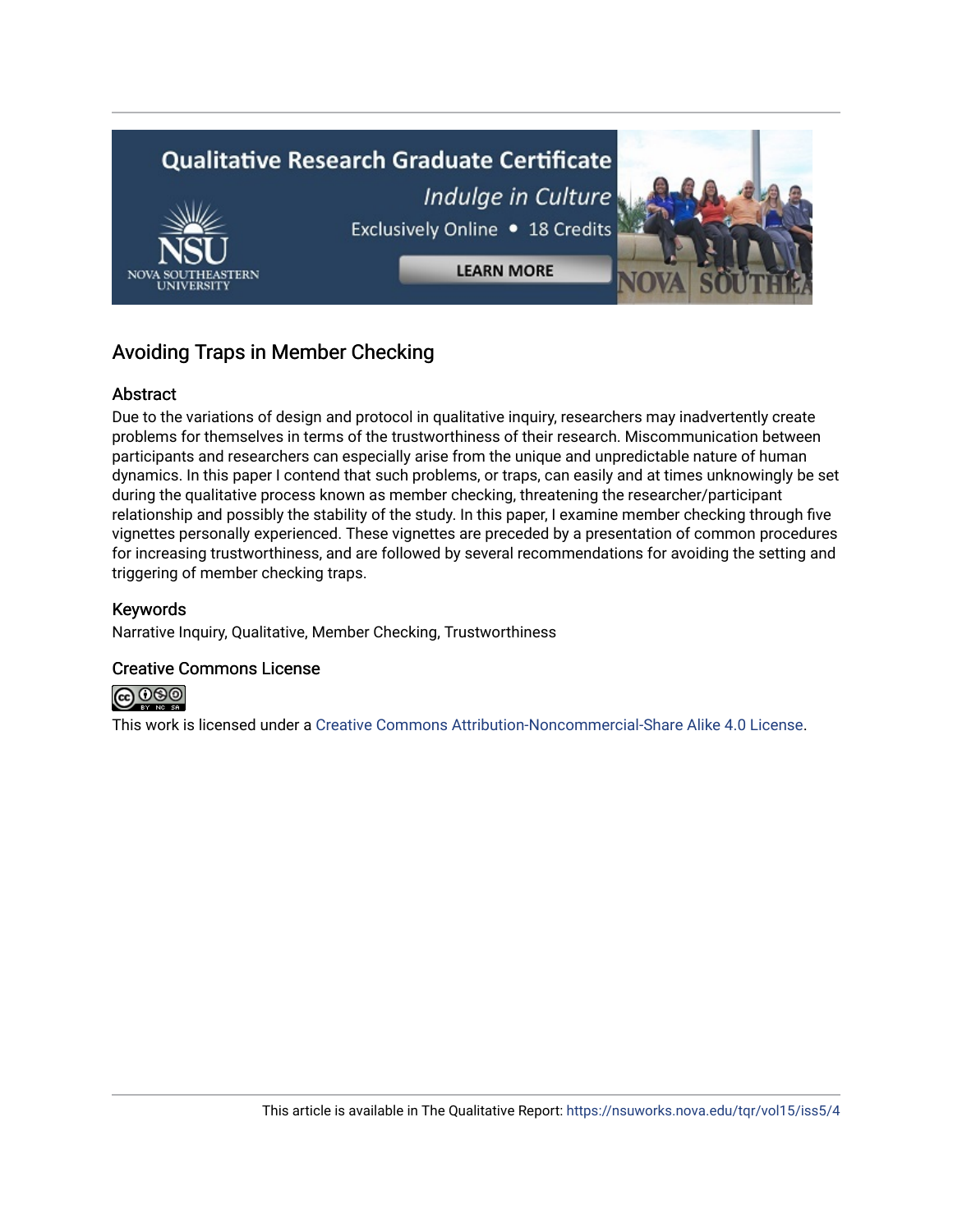

## Avoiding Traps in Member Checking

## Abstract

Due to the variations of design and protocol in qualitative inquiry, researchers may inadvertently create problems for themselves in terms of the trustworthiness of their research. Miscommunication between participants and researchers can especially arise from the unique and unpredictable nature of human dynamics. In this paper I contend that such problems, or traps, can easily and at times unknowingly be set during the qualitative process known as member checking, threatening the researcher/participant relationship and possibly the stability of the study. In this paper, I examine member checking through five vignettes personally experienced. These vignettes are preceded by a presentation of common procedures for increasing trustworthiness, and are followed by several recommendations for avoiding the setting and triggering of member checking traps.

## Keywords

Narrative Inquiry, Qualitative, Member Checking, Trustworthiness

## Creative Commons License



This work is licensed under a [Creative Commons Attribution-Noncommercial-Share Alike 4.0 License](https://creativecommons.org/licenses/by-nc-sa/4.0/).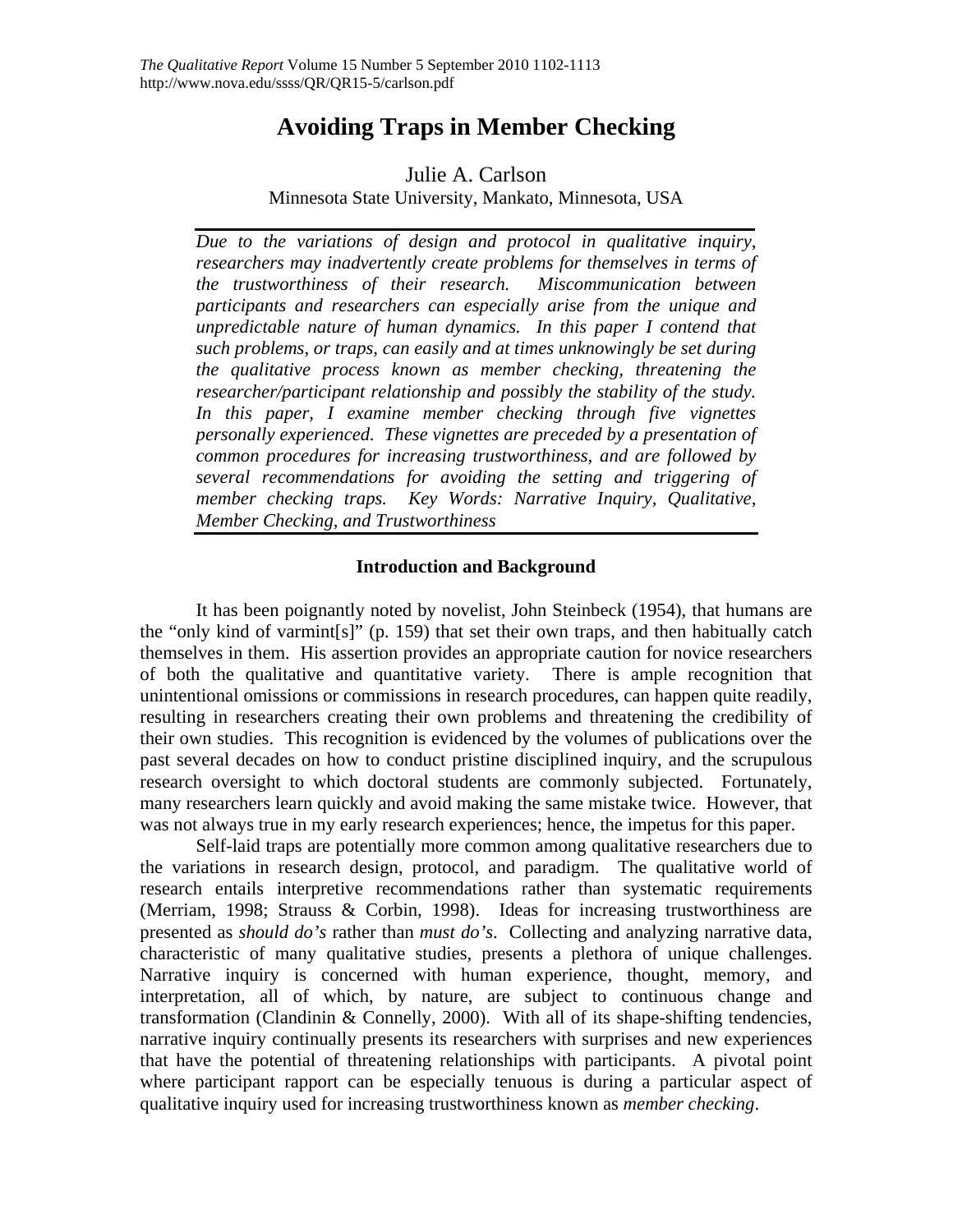## **Avoiding Traps in Member Checking**

## Julie A. Carlson

Minnesota State University, Mankato, Minnesota, USA

*Due to the variations of design and protocol in qualitative inquiry, researchers may inadvertently create problems for themselves in terms of the trustworthiness of their research. Miscommunication between participants and researchers can especially arise from the unique and unpredictable nature of human dynamics. In this paper I contend that such problems, or traps, can easily and at times unknowingly be set during the qualitative process known as member checking, threatening the researcher/participant relationship and possibly the stability of the study. In this paper, I examine member checking through five vignettes personally experienced. These vignettes are preceded by a presentation of common procedures for increasing trustworthiness, and are followed by several recommendations for avoiding the setting and triggering of member checking traps. Key Words: Narrative Inquiry, Qualitative, Member Checking, and Trustworthiness* 

## **Introduction and Background**

It has been poignantly noted by novelist, John Steinbeck (1954), that humans are the "only kind of varmint[s]" (p. 159) that set their own traps, and then habitually catch themselves in them. His assertion provides an appropriate caution for novice researchers of both the qualitative and quantitative variety. There is ample recognition that unintentional omissions or commissions in research procedures, can happen quite readily, resulting in researchers creating their own problems and threatening the credibility of their own studies. This recognition is evidenced by the volumes of publications over the past several decades on how to conduct pristine disciplined inquiry, and the scrupulous research oversight to which doctoral students are commonly subjected. Fortunately, many researchers learn quickly and avoid making the same mistake twice. However, that was not always true in my early research experiences; hence, the impetus for this paper.

Self-laid traps are potentially more common among qualitative researchers due to the variations in research design, protocol, and paradigm. The qualitative world of research entails interpretive recommendations rather than systematic requirements (Merriam, 1998; Strauss & Corbin, 1998). Ideas for increasing trustworthiness are presented as *should do's* rather than *must do's*. Collecting and analyzing narrative data, characteristic of many qualitative studies, presents a plethora of unique challenges. Narrative inquiry is concerned with human experience, thought, memory, and interpretation, all of which, by nature, are subject to continuous change and transformation (Clandinin & Connelly, 2000). With all of its shape-shifting tendencies, narrative inquiry continually presents its researchers with surprises and new experiences that have the potential of threatening relationships with participants. A pivotal point where participant rapport can be especially tenuous is during a particular aspect of qualitative inquiry used for increasing trustworthiness known as *member checking*.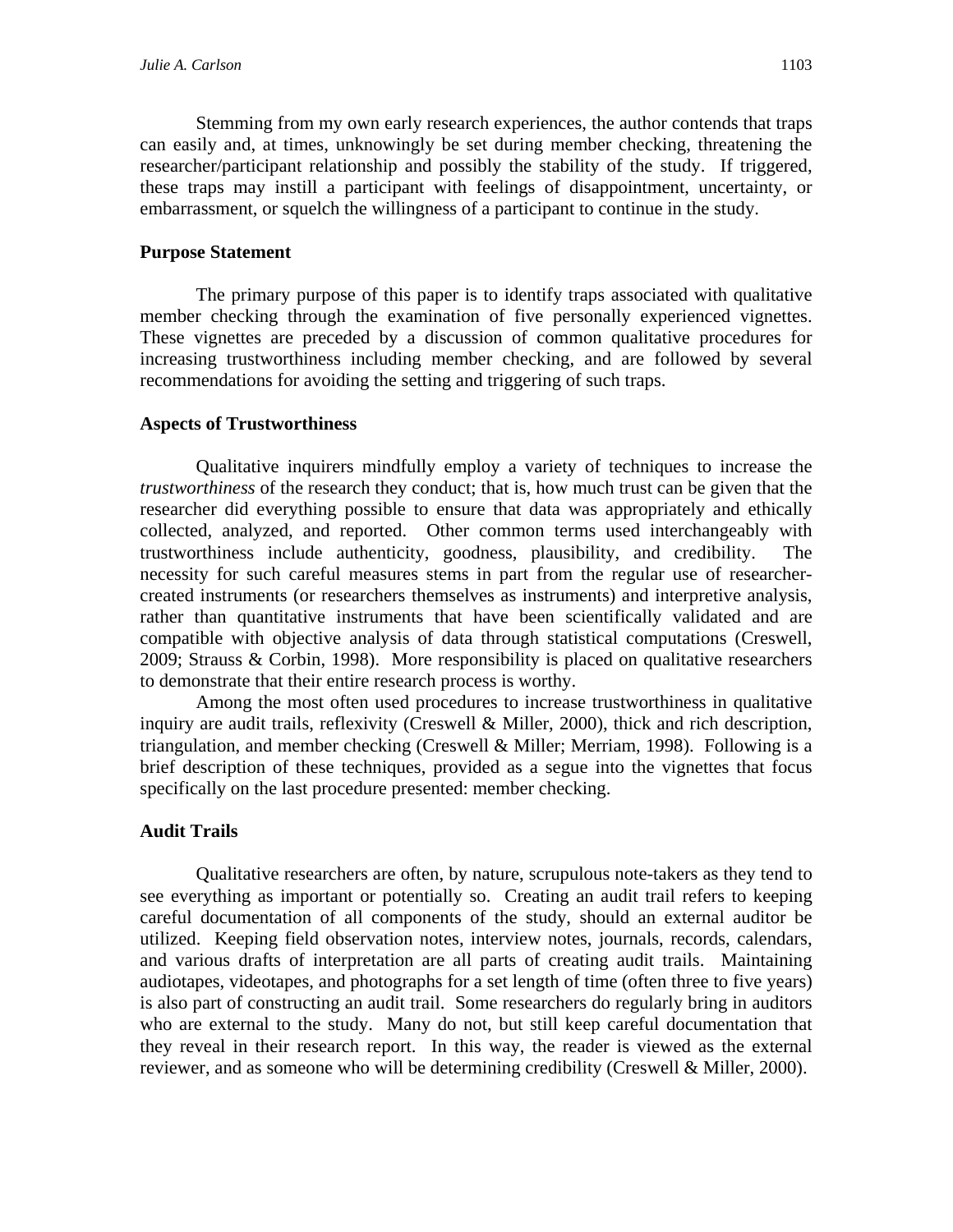Stemming from my own early research experiences, the author contends that traps can easily and, at times, unknowingly be set during member checking, threatening the researcher/participant relationship and possibly the stability of the study. If triggered, these traps may instill a participant with feelings of disappointment, uncertainty, or embarrassment, or squelch the willingness of a participant to continue in the study.

#### **Purpose Statement**

The primary purpose of this paper is to identify traps associated with qualitative member checking through the examination of five personally experienced vignettes. These vignettes are preceded by a discussion of common qualitative procedures for increasing trustworthiness including member checking, and are followed by several recommendations for avoiding the setting and triggering of such traps.

#### **Aspects of Trustworthiness**

Qualitative inquirers mindfully employ a variety of techniques to increase the *trustworthiness* of the research they conduct; that is, how much trust can be given that the researcher did everything possible to ensure that data was appropriately and ethically collected, analyzed, and reported. Other common terms used interchangeably with trustworthiness include authenticity, goodness, plausibility, and credibility. The necessity for such careful measures stems in part from the regular use of researchercreated instruments (or researchers themselves as instruments) and interpretive analysis, rather than quantitative instruments that have been scientifically validated and are compatible with objective analysis of data through statistical computations (Creswell, 2009; Strauss & Corbin, 1998). More responsibility is placed on qualitative researchers to demonstrate that their entire research process is worthy.

 Among the most often used procedures to increase trustworthiness in qualitative inquiry are audit trails, reflexivity (Creswell & Miller, 2000), thick and rich description, triangulation, and member checking (Creswell & Miller; Merriam, 1998). Following is a brief description of these techniques, provided as a segue into the vignettes that focus specifically on the last procedure presented: member checking.

#### **Audit Trails**

Qualitative researchers are often, by nature, scrupulous note-takers as they tend to see everything as important or potentially so. Creating an audit trail refers to keeping careful documentation of all components of the study, should an external auditor be utilized. Keeping field observation notes, interview notes, journals, records, calendars, and various drafts of interpretation are all parts of creating audit trails. Maintaining audiotapes, videotapes, and photographs for a set length of time (often three to five years) is also part of constructing an audit trail. Some researchers do regularly bring in auditors who are external to the study. Many do not, but still keep careful documentation that they reveal in their research report. In this way, the reader is viewed as the external reviewer, and as someone who will be determining credibility (Creswell & Miller, 2000).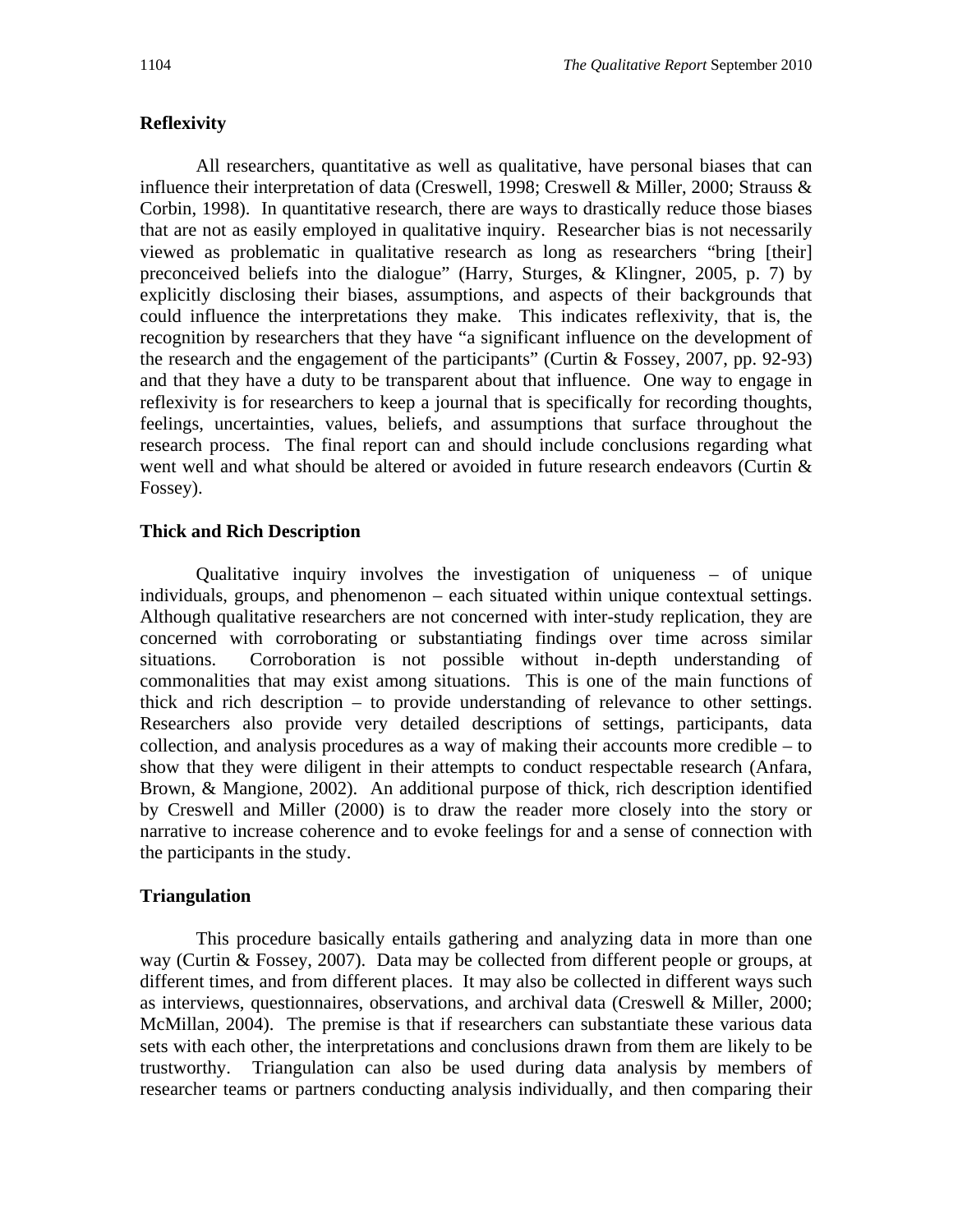## **Reflexivity**

All researchers, quantitative as well as qualitative, have personal biases that can influence their interpretation of data (Creswell, 1998; Creswell & Miller, 2000; Strauss & Corbin, 1998). In quantitative research, there are ways to drastically reduce those biases that are not as easily employed in qualitative inquiry. Researcher bias is not necessarily viewed as problematic in qualitative research as long as researchers "bring [their] preconceived beliefs into the dialogue" (Harry, Sturges, & Klingner, 2005, p. 7) by explicitly disclosing their biases, assumptions, and aspects of their backgrounds that could influence the interpretations they make. This indicates reflexivity, that is, the recognition by researchers that they have "a significant influence on the development of the research and the engagement of the participants" (Curtin & Fossey, 2007, pp. 92-93) and that they have a duty to be transparent about that influence. One way to engage in reflexivity is for researchers to keep a journal that is specifically for recording thoughts, feelings, uncertainties, values, beliefs, and assumptions that surface throughout the research process. The final report can and should include conclusions regarding what went well and what should be altered or avoided in future research endeavors (Curtin & Fossey).

## **Thick and Rich Description**

 Qualitative inquiry involves the investigation of uniqueness – of unique individuals, groups, and phenomenon – each situated within unique contextual settings. Although qualitative researchers are not concerned with inter-study replication, they are concerned with corroborating or substantiating findings over time across similar situations. Corroboration is not possible without in-depth understanding of commonalities that may exist among situations. This is one of the main functions of thick and rich description – to provide understanding of relevance to other settings. Researchers also provide very detailed descriptions of settings, participants, data collection, and analysis procedures as a way of making their accounts more credible – to show that they were diligent in their attempts to conduct respectable research (Anfara, Brown, & Mangione, 2002). An additional purpose of thick, rich description identified by Creswell and Miller (2000) is to draw the reader more closely into the story or narrative to increase coherence and to evoke feelings for and a sense of connection with the participants in the study.

## **Triangulation**

This procedure basically entails gathering and analyzing data in more than one way (Curtin & Fossey, 2007). Data may be collected from different people or groups, at different times, and from different places. It may also be collected in different ways such as interviews, questionnaires, observations, and archival data (Creswell & Miller, 2000; McMillan, 2004). The premise is that if researchers can substantiate these various data sets with each other, the interpretations and conclusions drawn from them are likely to be trustworthy. Triangulation can also be used during data analysis by members of researcher teams or partners conducting analysis individually, and then comparing their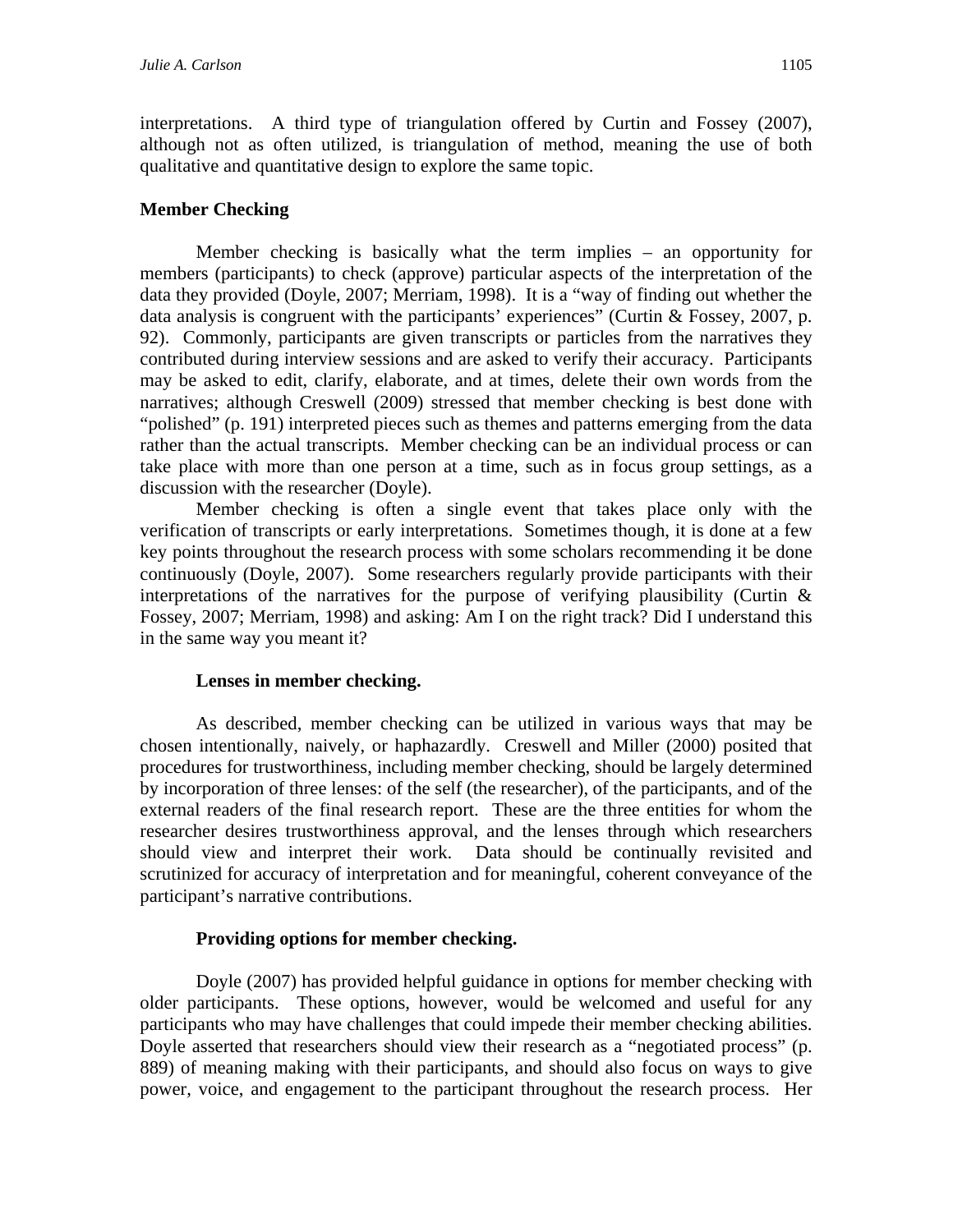interpretations. A third type of triangulation offered by Curtin and Fossey (2007), although not as often utilized, is triangulation of method, meaning the use of both qualitative and quantitative design to explore the same topic.

### **Member Checking**

Member checking is basically what the term implies – an opportunity for members (participants) to check (approve) particular aspects of the interpretation of the data they provided (Doyle, 2007; Merriam, 1998). It is a "way of finding out whether the data analysis is congruent with the participants' experiences" (Curtin & Fossey, 2007, p. 92). Commonly, participants are given transcripts or particles from the narratives they contributed during interview sessions and are asked to verify their accuracy. Participants may be asked to edit, clarify, elaborate, and at times, delete their own words from the narratives; although Creswell (2009) stressed that member checking is best done with "polished" (p. 191) interpreted pieces such as themes and patterns emerging from the data rather than the actual transcripts. Member checking can be an individual process or can take place with more than one person at a time, such as in focus group settings, as a discussion with the researcher (Doyle).

Member checking is often a single event that takes place only with the verification of transcripts or early interpretations. Sometimes though, it is done at a few key points throughout the research process with some scholars recommending it be done continuously (Doyle, 2007). Some researchers regularly provide participants with their interpretations of the narratives for the purpose of verifying plausibility (Curtin  $\&$ Fossey, 2007; Merriam, 1998) and asking: Am I on the right track? Did I understand this in the same way you meant it?

#### **Lenses in member checking.**

As described, member checking can be utilized in various ways that may be chosen intentionally, naively, or haphazardly. Creswell and Miller (2000) posited that procedures for trustworthiness, including member checking, should be largely determined by incorporation of three lenses: of the self (the researcher), of the participants, and of the external readers of the final research report. These are the three entities for whom the researcher desires trustworthiness approval, and the lenses through which researchers should view and interpret their work. Data should be continually revisited and scrutinized for accuracy of interpretation and for meaningful, coherent conveyance of the participant's narrative contributions.

## **Providing options for member checking.**

Doyle (2007) has provided helpful guidance in options for member checking with older participants. These options, however, would be welcomed and useful for any participants who may have challenges that could impede their member checking abilities. Doyle asserted that researchers should view their research as a "negotiated process" (p. 889) of meaning making with their participants, and should also focus on ways to give power, voice, and engagement to the participant throughout the research process. Her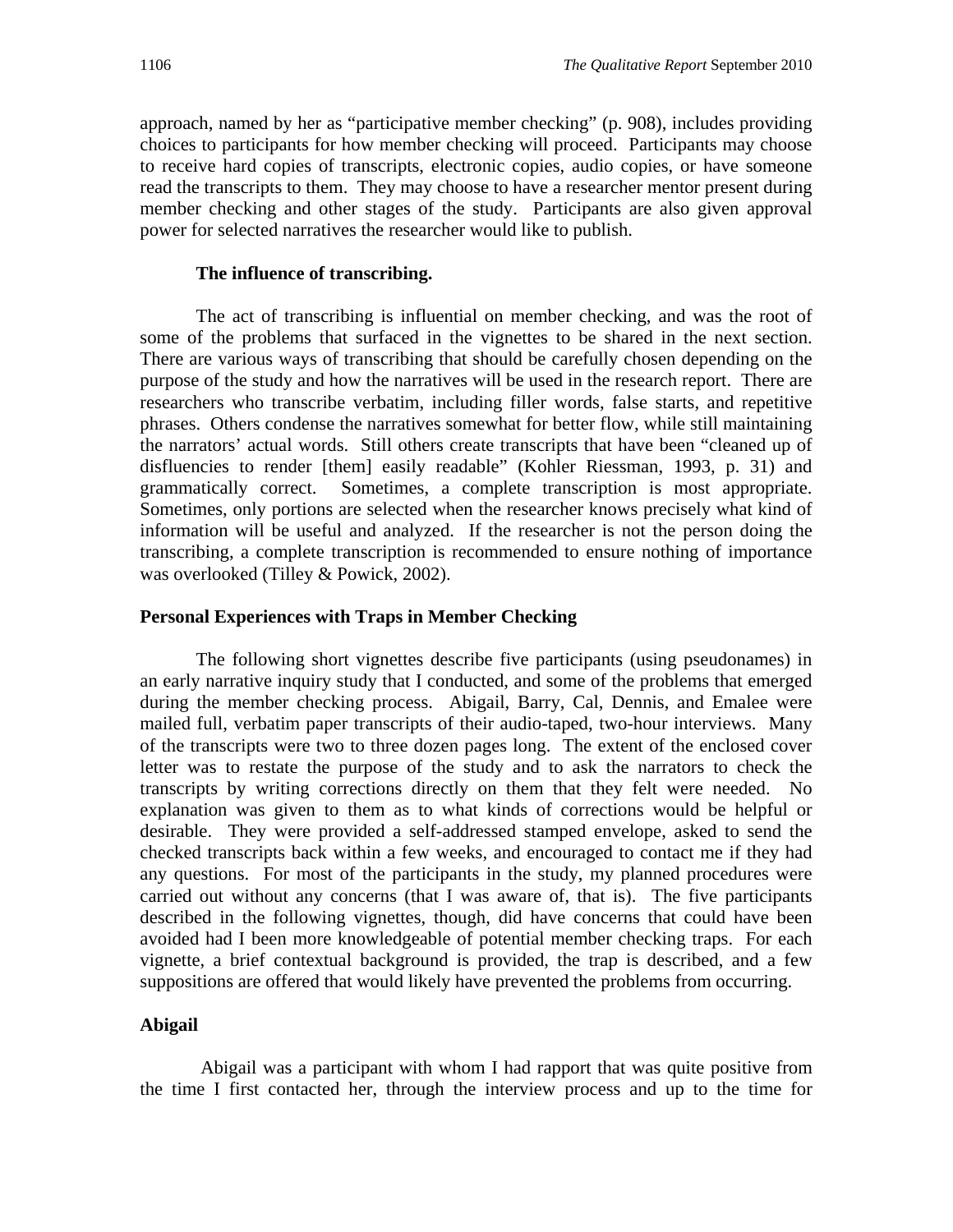approach, named by her as "participative member checking" (p. 908), includes providing choices to participants for how member checking will proceed. Participants may choose to receive hard copies of transcripts, electronic copies, audio copies, or have someone read the transcripts to them. They may choose to have a researcher mentor present during member checking and other stages of the study. Participants are also given approval power for selected narratives the researcher would like to publish.

#### **The influence of transcribing.**

The act of transcribing is influential on member checking, and was the root of some of the problems that surfaced in the vignettes to be shared in the next section. There are various ways of transcribing that should be carefully chosen depending on the purpose of the study and how the narratives will be used in the research report. There are researchers who transcribe verbatim, including filler words, false starts, and repetitive phrases. Others condense the narratives somewhat for better flow, while still maintaining the narrators' actual words. Still others create transcripts that have been "cleaned up of disfluencies to render [them] easily readable" (Kohler Riessman, 1993, p. 31) and grammatically correct. Sometimes, a complete transcription is most appropriate. Sometimes, only portions are selected when the researcher knows precisely what kind of information will be useful and analyzed. If the researcher is not the person doing the transcribing, a complete transcription is recommended to ensure nothing of importance was overlooked (Tilley & Powick, 2002).

#### **Personal Experiences with Traps in Member Checking**

The following short vignettes describe five participants (using pseudonames) in an early narrative inquiry study that I conducted, and some of the problems that emerged during the member checking process. Abigail, Barry, Cal, Dennis, and Emalee were mailed full, verbatim paper transcripts of their audio-taped, two-hour interviews. Many of the transcripts were two to three dozen pages long. The extent of the enclosed cover letter was to restate the purpose of the study and to ask the narrators to check the transcripts by writing corrections directly on them that they felt were needed. No explanation was given to them as to what kinds of corrections would be helpful or desirable. They were provided a self-addressed stamped envelope, asked to send the checked transcripts back within a few weeks, and encouraged to contact me if they had any questions. For most of the participants in the study, my planned procedures were carried out without any concerns (that I was aware of, that is). The five participants described in the following vignettes, though, did have concerns that could have been avoided had I been more knowledgeable of potential member checking traps. For each vignette, a brief contextual background is provided, the trap is described, and a few suppositions are offered that would likely have prevented the problems from occurring.

#### **Abigail**

 Abigail was a participant with whom I had rapport that was quite positive from the time I first contacted her, through the interview process and up to the time for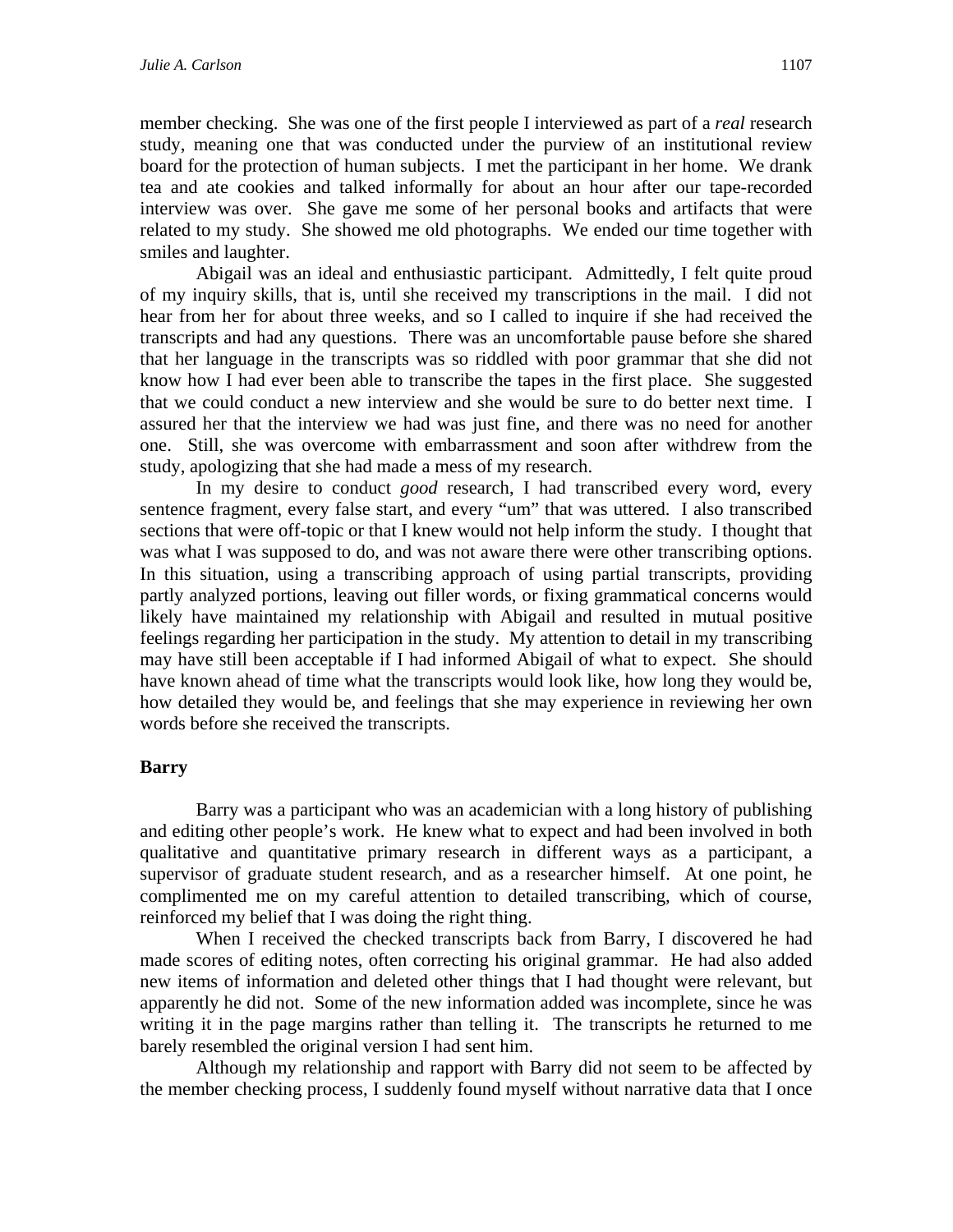member checking. She was one of the first people I interviewed as part of a *real* research study, meaning one that was conducted under the purview of an institutional review board for the protection of human subjects. I met the participant in her home. We drank tea and ate cookies and talked informally for about an hour after our tape-recorded interview was over. She gave me some of her personal books and artifacts that were related to my study. She showed me old photographs. We ended our time together with smiles and laughter.

 Abigail was an ideal and enthusiastic participant. Admittedly, I felt quite proud of my inquiry skills, that is, until she received my transcriptions in the mail. I did not hear from her for about three weeks, and so I called to inquire if she had received the transcripts and had any questions. There was an uncomfortable pause before she shared that her language in the transcripts was so riddled with poor grammar that she did not know how I had ever been able to transcribe the tapes in the first place. She suggested that we could conduct a new interview and she would be sure to do better next time. I assured her that the interview we had was just fine, and there was no need for another one. Still, she was overcome with embarrassment and soon after withdrew from the study, apologizing that she had made a mess of my research.

 In my desire to conduct *good* research, I had transcribed every word, every sentence fragment, every false start, and every "um" that was uttered. I also transcribed sections that were off-topic or that I knew would not help inform the study. I thought that was what I was supposed to do, and was not aware there were other transcribing options. In this situation, using a transcribing approach of using partial transcripts, providing partly analyzed portions, leaving out filler words, or fixing grammatical concerns would likely have maintained my relationship with Abigail and resulted in mutual positive feelings regarding her participation in the study. My attention to detail in my transcribing may have still been acceptable if I had informed Abigail of what to expect. She should have known ahead of time what the transcripts would look like, how long they would be, how detailed they would be, and feelings that she may experience in reviewing her own words before she received the transcripts.

## **Barry**

Barry was a participant who was an academician with a long history of publishing and editing other people's work. He knew what to expect and had been involved in both qualitative and quantitative primary research in different ways as a participant, a supervisor of graduate student research, and as a researcher himself. At one point, he complimented me on my careful attention to detailed transcribing, which of course, reinforced my belief that I was doing the right thing.

 When I received the checked transcripts back from Barry, I discovered he had made scores of editing notes, often correcting his original grammar. He had also added new items of information and deleted other things that I had thought were relevant, but apparently he did not. Some of the new information added was incomplete, since he was writing it in the page margins rather than telling it. The transcripts he returned to me barely resembled the original version I had sent him.

 Although my relationship and rapport with Barry did not seem to be affected by the member checking process, I suddenly found myself without narrative data that I once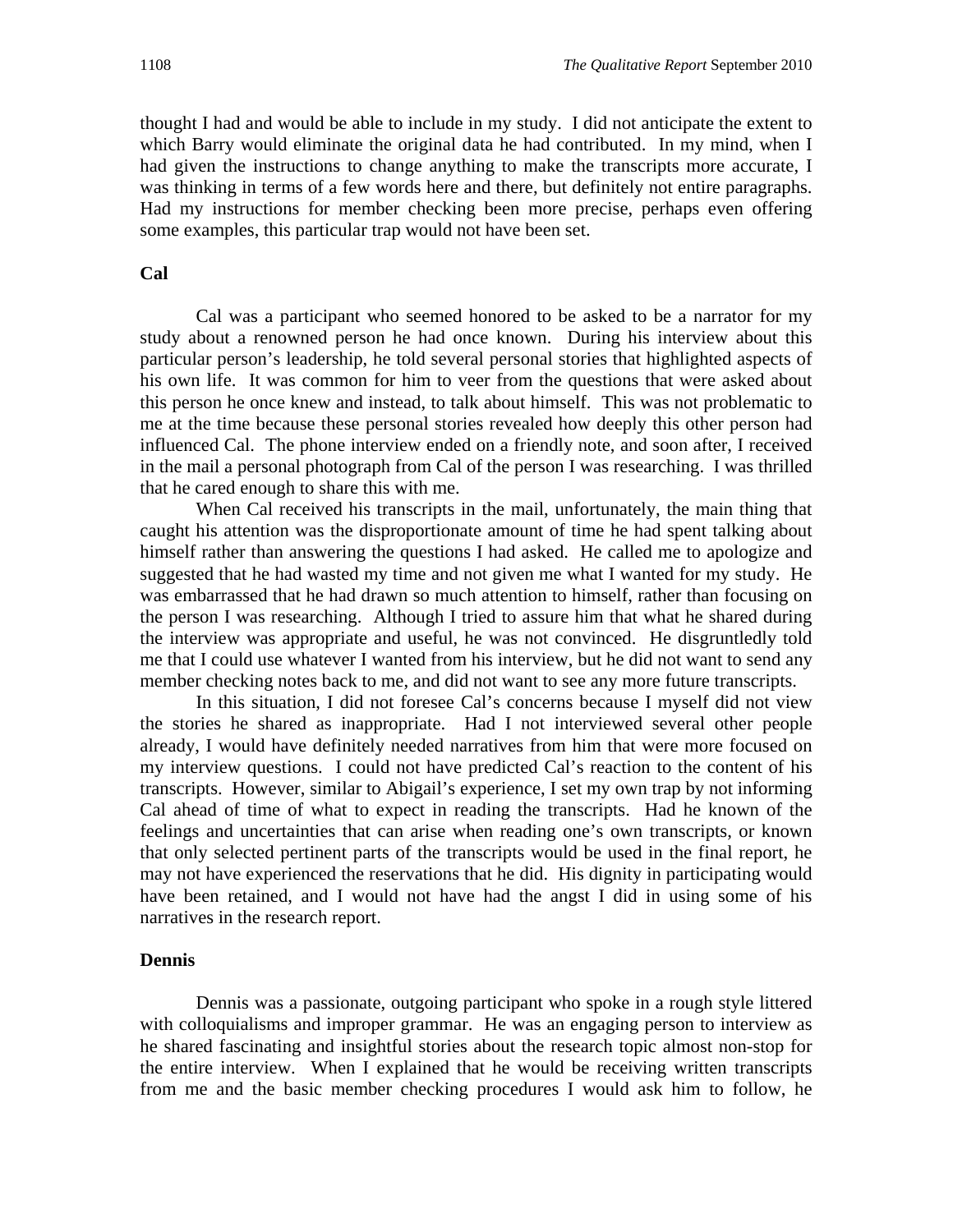thought I had and would be able to include in my study. I did not anticipate the extent to which Barry would eliminate the original data he had contributed. In my mind, when I had given the instructions to change anything to make the transcripts more accurate, I was thinking in terms of a few words here and there, but definitely not entire paragraphs. Had my instructions for member checking been more precise, perhaps even offering some examples, this particular trap would not have been set.

### **Cal**

 Cal was a participant who seemed honored to be asked to be a narrator for my study about a renowned person he had once known. During his interview about this particular person's leadership, he told several personal stories that highlighted aspects of his own life. It was common for him to veer from the questions that were asked about this person he once knew and instead, to talk about himself. This was not problematic to me at the time because these personal stories revealed how deeply this other person had influenced Cal. The phone interview ended on a friendly note, and soon after, I received in the mail a personal photograph from Cal of the person I was researching. I was thrilled that he cared enough to share this with me.

When Cal received his transcripts in the mail, unfortunately, the main thing that caught his attention was the disproportionate amount of time he had spent talking about himself rather than answering the questions I had asked. He called me to apologize and suggested that he had wasted my time and not given me what I wanted for my study. He was embarrassed that he had drawn so much attention to himself, rather than focusing on the person I was researching. Although I tried to assure him that what he shared during the interview was appropriate and useful, he was not convinced. He disgruntledly told me that I could use whatever I wanted from his interview, but he did not want to send any member checking notes back to me, and did not want to see any more future transcripts.

In this situation, I did not foresee Cal's concerns because I myself did not view the stories he shared as inappropriate. Had I not interviewed several other people already, I would have definitely needed narratives from him that were more focused on my interview questions. I could not have predicted Cal's reaction to the content of his transcripts. However, similar to Abigail's experience, I set my own trap by not informing Cal ahead of time of what to expect in reading the transcripts. Had he known of the feelings and uncertainties that can arise when reading one's own transcripts, or known that only selected pertinent parts of the transcripts would be used in the final report, he may not have experienced the reservations that he did. His dignity in participating would have been retained, and I would not have had the angst I did in using some of his narratives in the research report.

#### **Dennis**

 Dennis was a passionate, outgoing participant who spoke in a rough style littered with colloquialisms and improper grammar. He was an engaging person to interview as he shared fascinating and insightful stories about the research topic almost non-stop for the entire interview. When I explained that he would be receiving written transcripts from me and the basic member checking procedures I would ask him to follow, he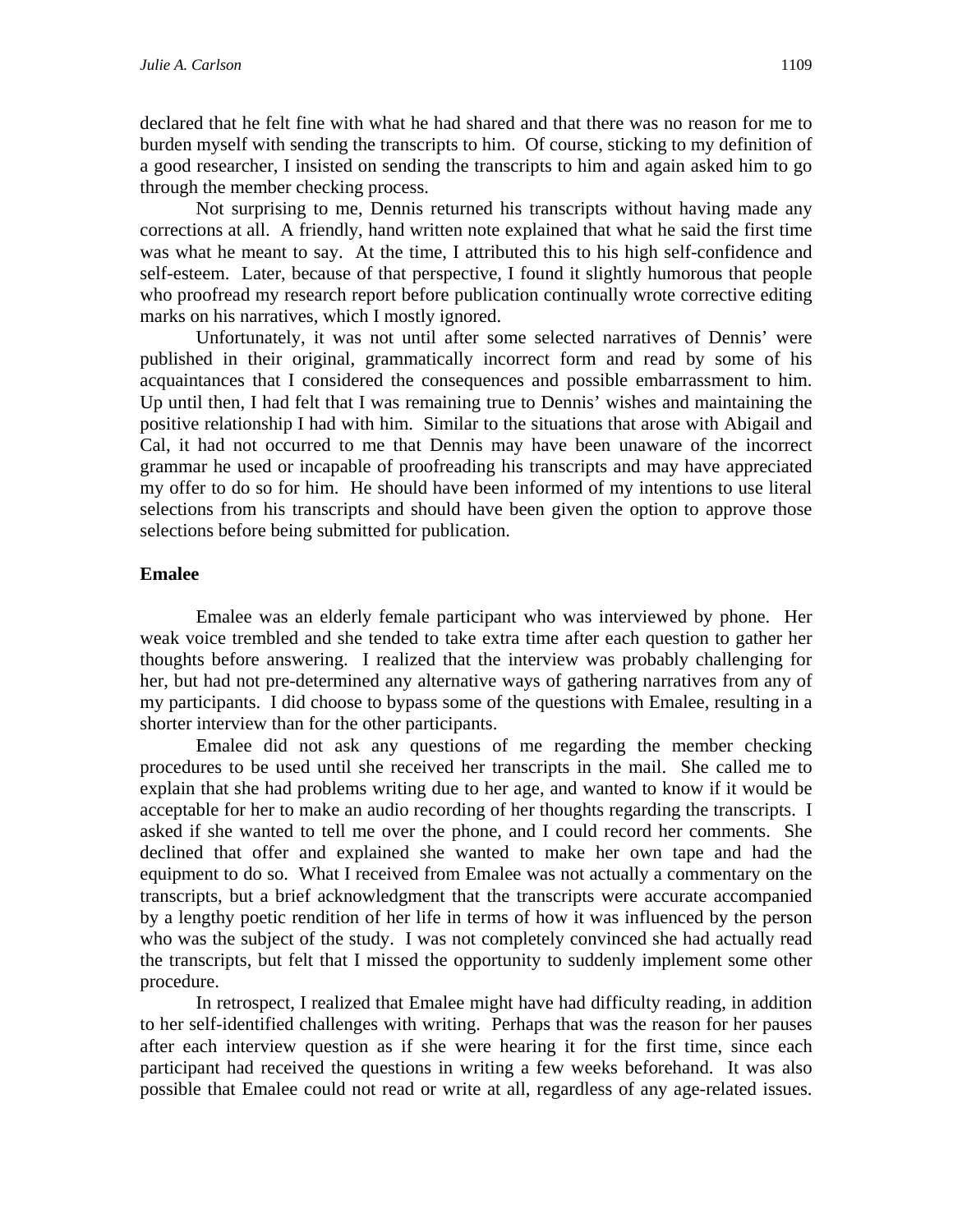declared that he felt fine with what he had shared and that there was no reason for me to burden myself with sending the transcripts to him. Of course, sticking to my definition of a good researcher, I insisted on sending the transcripts to him and again asked him to go through the member checking process.

 Not surprising to me, Dennis returned his transcripts without having made any corrections at all. A friendly, hand written note explained that what he said the first time was what he meant to say. At the time, I attributed this to his high self-confidence and self-esteem. Later, because of that perspective, I found it slightly humorous that people who proofread my research report before publication continually wrote corrective editing marks on his narratives, which I mostly ignored.

 Unfortunately, it was not until after some selected narratives of Dennis' were published in their original, grammatically incorrect form and read by some of his acquaintances that I considered the consequences and possible embarrassment to him. Up until then, I had felt that I was remaining true to Dennis' wishes and maintaining the positive relationship I had with him. Similar to the situations that arose with Abigail and Cal, it had not occurred to me that Dennis may have been unaware of the incorrect grammar he used or incapable of proofreading his transcripts and may have appreciated my offer to do so for him. He should have been informed of my intentions to use literal selections from his transcripts and should have been given the option to approve those selections before being submitted for publication.

#### **Emalee**

Emalee was an elderly female participant who was interviewed by phone. Her weak voice trembled and she tended to take extra time after each question to gather her thoughts before answering. I realized that the interview was probably challenging for her, but had not pre-determined any alternative ways of gathering narratives from any of my participants. I did choose to bypass some of the questions with Emalee, resulting in a shorter interview than for the other participants.

 Emalee did not ask any questions of me regarding the member checking procedures to be used until she received her transcripts in the mail. She called me to explain that she had problems writing due to her age, and wanted to know if it would be acceptable for her to make an audio recording of her thoughts regarding the transcripts. I asked if she wanted to tell me over the phone, and I could record her comments. She declined that offer and explained she wanted to make her own tape and had the equipment to do so. What I received from Emalee was not actually a commentary on the transcripts, but a brief acknowledgment that the transcripts were accurate accompanied by a lengthy poetic rendition of her life in terms of how it was influenced by the person who was the subject of the study. I was not completely convinced she had actually read the transcripts, but felt that I missed the opportunity to suddenly implement some other procedure.

 In retrospect, I realized that Emalee might have had difficulty reading, in addition to her self-identified challenges with writing. Perhaps that was the reason for her pauses after each interview question as if she were hearing it for the first time, since each participant had received the questions in writing a few weeks beforehand. It was also possible that Emalee could not read or write at all, regardless of any age-related issues.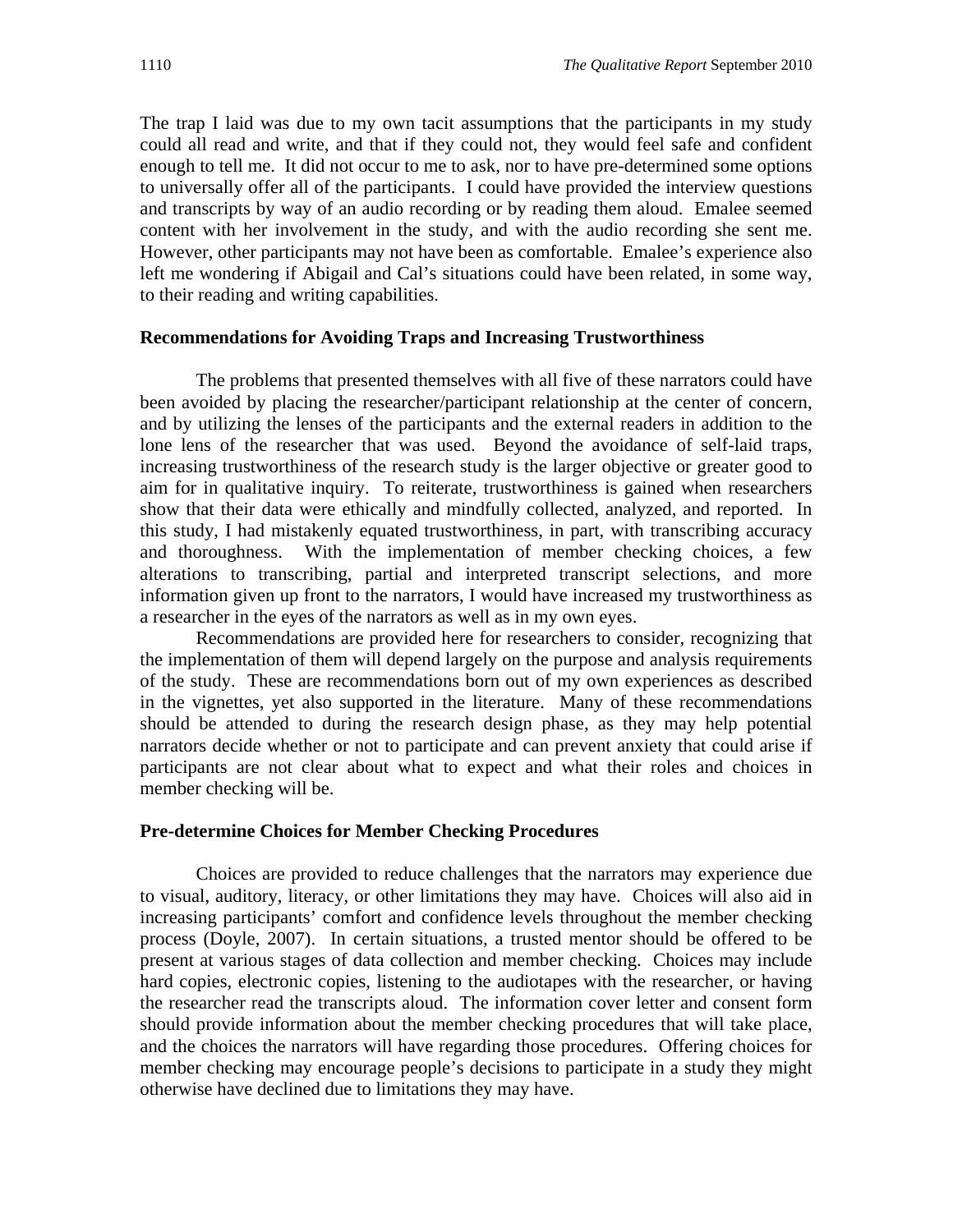The trap I laid was due to my own tacit assumptions that the participants in my study could all read and write, and that if they could not, they would feel safe and confident enough to tell me. It did not occur to me to ask, nor to have pre-determined some options to universally offer all of the participants. I could have provided the interview questions and transcripts by way of an audio recording or by reading them aloud. Emalee seemed content with her involvement in the study, and with the audio recording she sent me. However, other participants may not have been as comfortable. Emalee's experience also left me wondering if Abigail and Cal's situations could have been related, in some way, to their reading and writing capabilities.

#### **Recommendations for Avoiding Traps and Increasing Trustworthiness**

The problems that presented themselves with all five of these narrators could have been avoided by placing the researcher/participant relationship at the center of concern, and by utilizing the lenses of the participants and the external readers in addition to the lone lens of the researcher that was used. Beyond the avoidance of self-laid traps, increasing trustworthiness of the research study is the larger objective or greater good to aim for in qualitative inquiry. To reiterate, trustworthiness is gained when researchers show that their data were ethically and mindfully collected, analyzed, and reported. In this study, I had mistakenly equated trustworthiness, in part, with transcribing accuracy and thoroughness. With the implementation of member checking choices, a few alterations to transcribing, partial and interpreted transcript selections, and more information given up front to the narrators, I would have increased my trustworthiness as a researcher in the eyes of the narrators as well as in my own eyes.

Recommendations are provided here for researchers to consider, recognizing that the implementation of them will depend largely on the purpose and analysis requirements of the study. These are recommendations born out of my own experiences as described in the vignettes, yet also supported in the literature. Many of these recommendations should be attended to during the research design phase, as they may help potential narrators decide whether or not to participate and can prevent anxiety that could arise if participants are not clear about what to expect and what their roles and choices in member checking will be.

#### **Pre-determine Choices for Member Checking Procedures**

Choices are provided to reduce challenges that the narrators may experience due to visual, auditory, literacy, or other limitations they may have. Choices will also aid in increasing participants' comfort and confidence levels throughout the member checking process (Doyle, 2007). In certain situations, a trusted mentor should be offered to be present at various stages of data collection and member checking. Choices may include hard copies, electronic copies, listening to the audiotapes with the researcher, or having the researcher read the transcripts aloud. The information cover letter and consent form should provide information about the member checking procedures that will take place, and the choices the narrators will have regarding those procedures. Offering choices for member checking may encourage people's decisions to participate in a study they might otherwise have declined due to limitations they may have.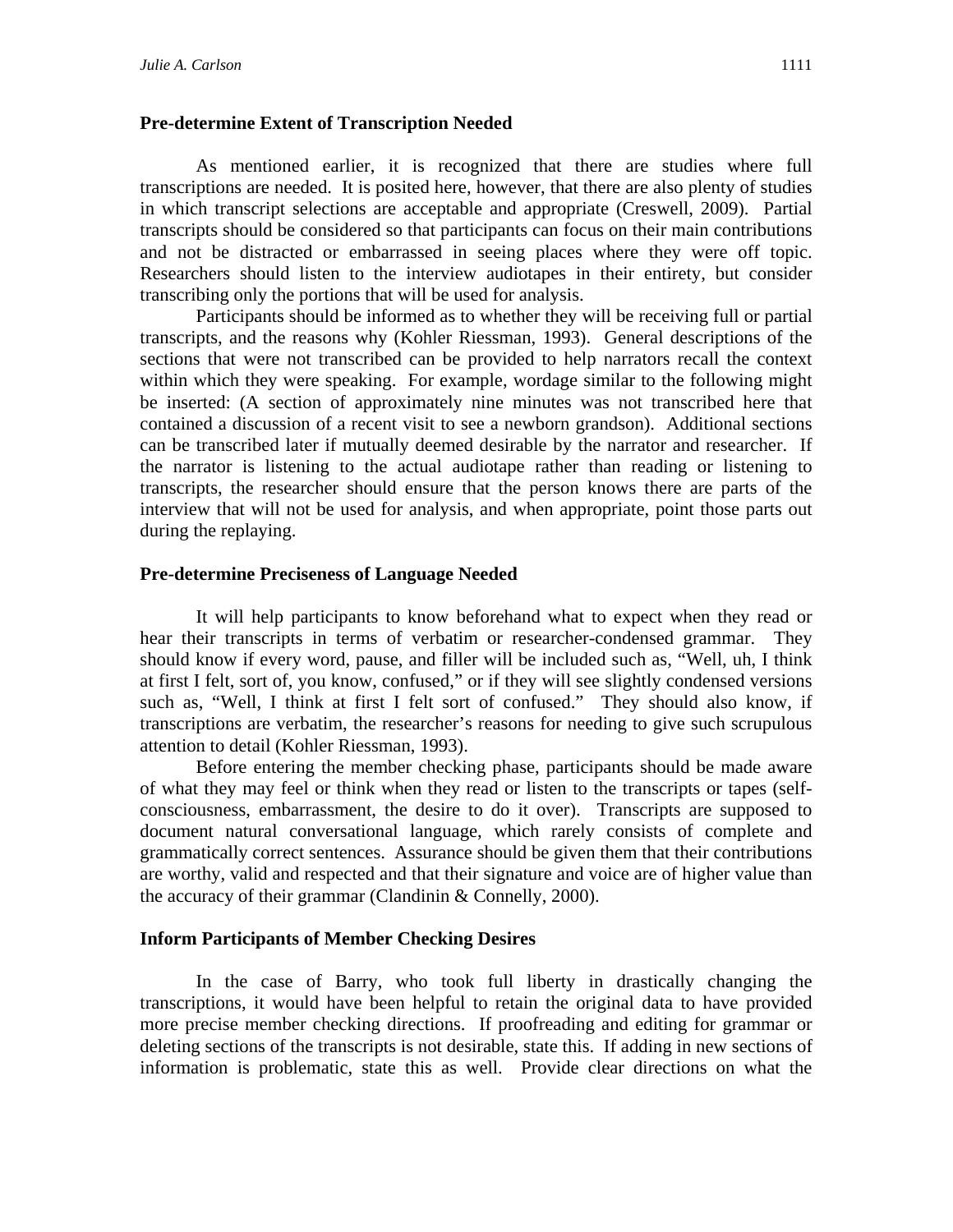#### **Pre-determine Extent of Transcription Needed**

As mentioned earlier, it is recognized that there are studies where full transcriptions are needed. It is posited here, however, that there are also plenty of studies in which transcript selections are acceptable and appropriate (Creswell, 2009). Partial transcripts should be considered so that participants can focus on their main contributions and not be distracted or embarrassed in seeing places where they were off topic. Researchers should listen to the interview audiotapes in their entirety, but consider transcribing only the portions that will be used for analysis.

 Participants should be informed as to whether they will be receiving full or partial transcripts, and the reasons why (Kohler Riessman, 1993). General descriptions of the sections that were not transcribed can be provided to help narrators recall the context within which they were speaking. For example, wordage similar to the following might be inserted: (A section of approximately nine minutes was not transcribed here that contained a discussion of a recent visit to see a newborn grandson). Additional sections can be transcribed later if mutually deemed desirable by the narrator and researcher. If the narrator is listening to the actual audiotape rather than reading or listening to transcripts, the researcher should ensure that the person knows there are parts of the interview that will not be used for analysis, and when appropriate, point those parts out during the replaying.

#### **Pre-determine Preciseness of Language Needed**

It will help participants to know beforehand what to expect when they read or hear their transcripts in terms of verbatim or researcher-condensed grammar. They should know if every word, pause, and filler will be included such as, "Well, uh, I think at first I felt, sort of, you know, confused," or if they will see slightly condensed versions such as, "Well, I think at first I felt sort of confused." They should also know, if transcriptions are verbatim, the researcher's reasons for needing to give such scrupulous attention to detail (Kohler Riessman, 1993).

 Before entering the member checking phase, participants should be made aware of what they may feel or think when they read or listen to the transcripts or tapes (selfconsciousness, embarrassment, the desire to do it over). Transcripts are supposed to document natural conversational language, which rarely consists of complete and grammatically correct sentences. Assurance should be given them that their contributions are worthy, valid and respected and that their signature and voice are of higher value than the accuracy of their grammar (Clandinin & Connelly, 2000).

#### **Inform Participants of Member Checking Desires**

In the case of Barry, who took full liberty in drastically changing the transcriptions, it would have been helpful to retain the original data to have provided more precise member checking directions. If proofreading and editing for grammar or deleting sections of the transcripts is not desirable, state this. If adding in new sections of information is problematic, state this as well. Provide clear directions on what the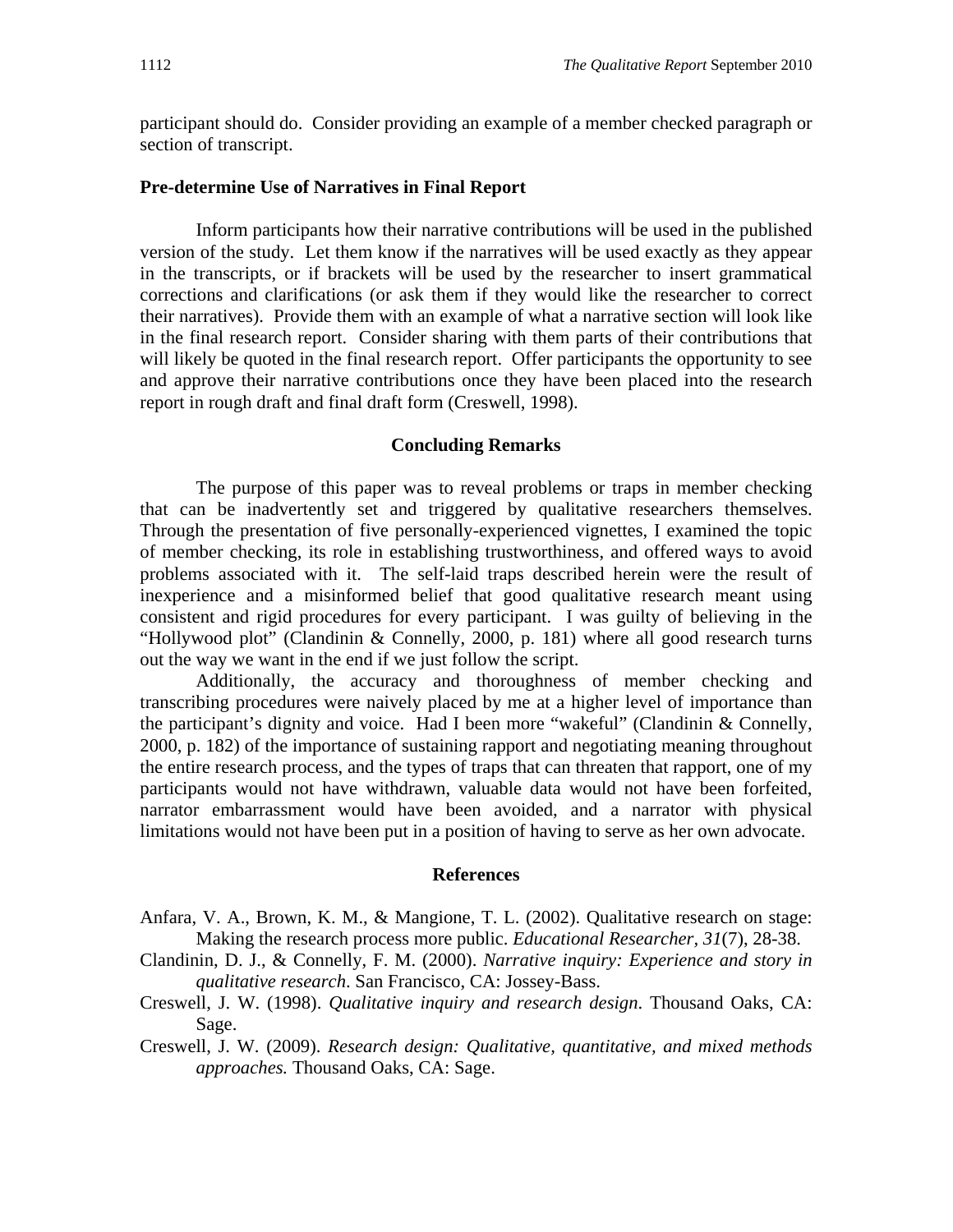participant should do. Consider providing an example of a member checked paragraph or section of transcript.

## **Pre-determine Use of Narratives in Final Report**

Inform participants how their narrative contributions will be used in the published version of the study. Let them know if the narratives will be used exactly as they appear in the transcripts, or if brackets will be used by the researcher to insert grammatical corrections and clarifications (or ask them if they would like the researcher to correct their narratives). Provide them with an example of what a narrative section will look like in the final research report. Consider sharing with them parts of their contributions that will likely be quoted in the final research report. Offer participants the opportunity to see and approve their narrative contributions once they have been placed into the research report in rough draft and final draft form (Creswell, 1998).

## **Concluding Remarks**

 The purpose of this paper was to reveal problems or traps in member checking that can be inadvertently set and triggered by qualitative researchers themselves. Through the presentation of five personally-experienced vignettes, I examined the topic of member checking, its role in establishing trustworthiness, and offered ways to avoid problems associated with it. The self-laid traps described herein were the result of inexperience and a misinformed belief that good qualitative research meant using consistent and rigid procedures for every participant. I was guilty of believing in the "Hollywood plot" (Clandinin & Connelly, 2000, p. 181) where all good research turns out the way we want in the end if we just follow the script.

 Additionally, the accuracy and thoroughness of member checking and transcribing procedures were naively placed by me at a higher level of importance than the participant's dignity and voice. Had I been more "wakeful" (Clandinin & Connelly, 2000, p. 182) of the importance of sustaining rapport and negotiating meaning throughout the entire research process, and the types of traps that can threaten that rapport, one of my participants would not have withdrawn, valuable data would not have been forfeited, narrator embarrassment would have been avoided, and a narrator with physical limitations would not have been put in a position of having to serve as her own advocate.

## **References**

- Anfara, V. A., Brown, K. M., & Mangione, T. L. (2002). Qualitative research on stage: Making the research process more public. *Educational Researcher, 31*(7), 28-38.
- Clandinin, D. J., & Connelly, F. M. (2000). *Narrative inquiry: Experience and story in qualitative research*. San Francisco, CA: Jossey-Bass.
- Creswell, J. W. (1998). *Qualitative inquiry and research design*. Thousand Oaks, CA: Sage.
- Creswell, J. W. (2009). *Research design: Qualitative, quantitative, and mixed methods approaches.* Thousand Oaks, CA: Sage.